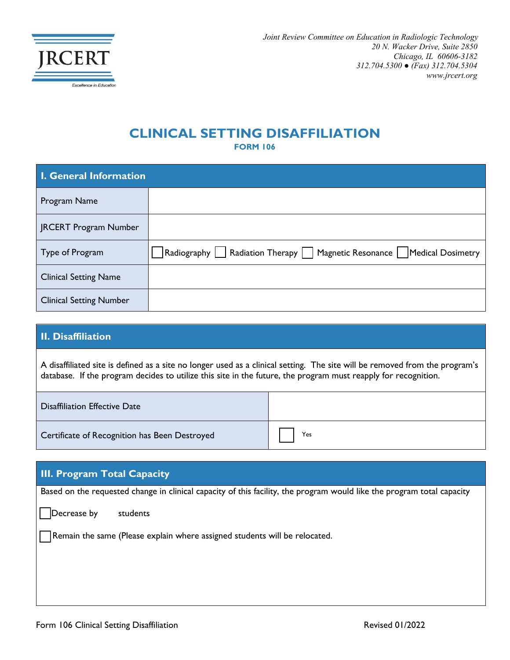

## **CLINICAL SETTING DISAFFILIATION**

**FORM 106**

| <b>I. General Information</b>  |                                                                          |  |
|--------------------------------|--------------------------------------------------------------------------|--|
| Program Name                   |                                                                          |  |
| <b>JRCERT Program Number</b>   |                                                                          |  |
| Type of Program                | Radiography   Radiation Therapy   Magnetic Resonance   Medical Dosimetry |  |
| <b>Clinical Setting Name</b>   |                                                                          |  |
| <b>Clinical Setting Number</b> |                                                                          |  |

## **II. Disaffiliation**

A disaffiliated site is defined as a site no longer used as a clinical setting. The site will be removed from the program's database. If the program decides to utilize this site in the future, the program must reapply for recognition.

| <b>Disaffiliation Effective Date</b>          |     |
|-----------------------------------------------|-----|
| Certificate of Recognition has Been Destroyed | Yes |

## **III. Program Total Capacity** Based on the requested change in clinical capacity of this facility, the program would like the program total capacity Decrease by students ☐ Remain the same (Please explain where assigned students will be relocated.